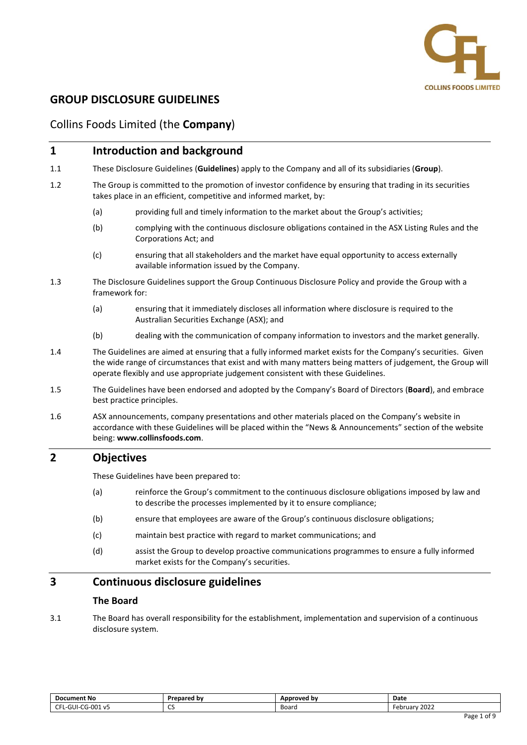

# **GROUP DISCLOSURE GUIDELINES**

## Collins Foods Limited (the **Company**)

## **1 Introduction and background**

- 1.1 These Disclosure Guidelines (**Guidelines**) apply to the Company and all of its subsidiaries (**Group**).
- 1.2 The Group is committed to the promotion of investor confidence by ensuring that trading in its securities takes place in an efficient, competitive and informed market, by:
	- (a) providing full and timely information to the market about the Group's activities;
	- (b) complying with the continuous disclosure obligations contained in the ASX Listing Rules and the Corporations Act; and
	- (c) ensuring that all stakeholders and the market have equal opportunity to access externally available information issued by the Company.
- 1.3 The Disclosure Guidelines support the Group Continuous Disclosure Policy and provide the Group with a framework for:
	- (a) ensuring that it immediately discloses all information where disclosure is required to the Australian Securities Exchange (ASX); and
	- (b) dealing with the communication of company information to investors and the market generally.
- 1.4 The Guidelines are aimed at ensuring that a fully informed market exists for the Company's securities. Given the wide range of circumstances that exist and with many matters being matters of judgement, the Group will operate flexibly and use appropriate judgement consistent with these Guidelines.
- 1.5 The Guidelines have been endorsed and adopted by the Company's Board of Directors (**Board**), and embrace best practice principles.
- 1.6 ASX announcements, company presentations and other materials placed on the Company's website in accordance with these Guidelines will be placed within the "News & Announcements" section of the website being: **www.collinsfoods.com**.

## **2 Objectives**

These Guidelines have been prepared to:

- (a) reinforce the Group's commitment to the continuous disclosure obligations imposed by law and to describe the processes implemented by it to ensure compliance;
- (b) ensure that employees are aware of the Group's continuous disclosure obligations;
- (c) maintain best practice with regard to market communications; and
- (d) assist the Group to develop proactive communications programmes to ensure a fully informed market exists for the Company's securities.

## **3 Continuous disclosure guidelines**

#### **The Board**

3.1 The Board has overall responsibility for the establishment, implementation and supervision of a continuous disclosure system.

| <b>Document No</b>                              | Prepared by | Approved by | Date             |
|-------------------------------------------------|-------------|-------------|------------------|
| CG-001 v5<br>--<br>$\sim$<br>GUI-<br>N.H.H<br>. | $\sim$<br>ິ | Board       | 2022<br>-ebruarv |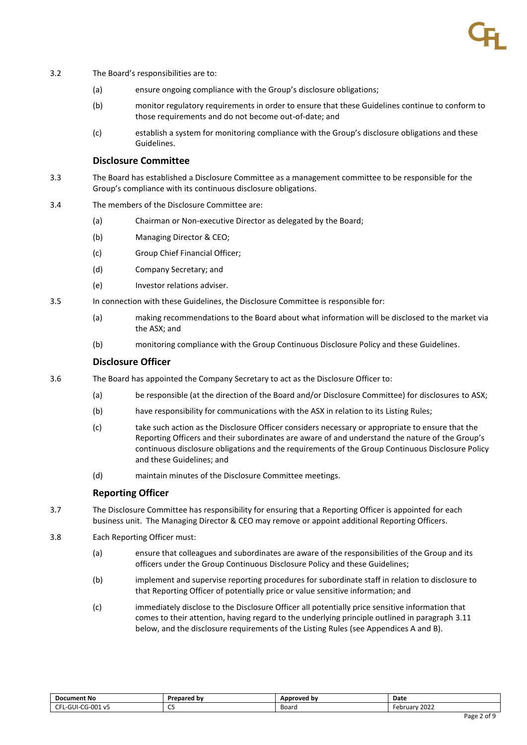- 3.2 The Board's responsibilities are to:
	- (a) ensure ongoing compliance with the Group's disclosure obligations;
	- (b) monitor regulatory requirements in order to ensure that these Guidelines continue to conform to those requirements and do not become out-of-date; and
	- (c) establish a system for monitoring compliance with the Group's disclosure obligations and these Guidelines.

#### **Disclosure Committee**

- 3.3 The Board has established a Disclosure Committee as a management committee to be responsible for the Group's compliance with its continuous disclosure obligations.
- 3.4 The members of the Disclosure Committee are:
	- (a) Chairman or Non-executive Director as delegated by the Board;
	- (b) Managing Director & CEO;
	- (c) Group Chief Financial Officer;
	- (d) Company Secretary; and
	- (e) Investor relations adviser.
- 3.5 In connection with these Guidelines, the Disclosure Committee is responsible for:
	- (a) making recommendations to the Board about what information will be disclosed to the market via the ASX; and
	- (b) monitoring compliance with the Group Continuous Disclosure Policy and these Guidelines.

#### **Disclosure Officer**

- 3.6 The Board has appointed the Company Secretary to act as the Disclosure Officer to:
	- (a) be responsible (at the direction of the Board and/or Disclosure Committee) for disclosures to ASX;
	- (b) have responsibility for communications with the ASX in relation to its Listing Rules;
	- (c) take such action as the Disclosure Officer considers necessary or appropriate to ensure that the Reporting Officers and their subordinates are aware of and understand the nature of the Group's continuous disclosure obligations and the requirements of the Group Continuous Disclosure Policy and these Guidelines; and
	- (d) maintain minutes of the Disclosure Committee meetings.

#### **Reporting Officer**

- 3.7 The Disclosure Committee has responsibility for ensuring that a Reporting Officer is appointed for each business unit. The Managing Director & CEO may remove or appoint additional Reporting Officers.
- 3.8 Each Reporting Officer must:
	- (a) ensure that colleagues and subordinates are aware of the responsibilities of the Group and its officers under the Group Continuous Disclosure Policy and these Guidelines;
	- (b) implement and supervise reporting procedures for subordinate staff in relation to disclosure to that Reporting Officer of potentially price or value sensitive information; and
	- (c) immediately disclose to the Disclosure Officer all potentially price sensitive information that comes to their attention, having regard to the underlying principle outlined in paragraph [3.11](#page-2-0) below, and the disclosure requirements of the Listing Rules (see Appendices A and B).

| <b>Document No</b>                                                     | Prepared by     | Approved by | Date            |
|------------------------------------------------------------------------|-----------------|-------------|-----------------|
| . G-NOT<br>~-<br>$\sim$<br>JUF'<br>J۷<br>F'<br>uu r<br><b>v</b> –<br>. | --<br>ິ<br>$ -$ | Board<br>.  | 2022<br>ebruary |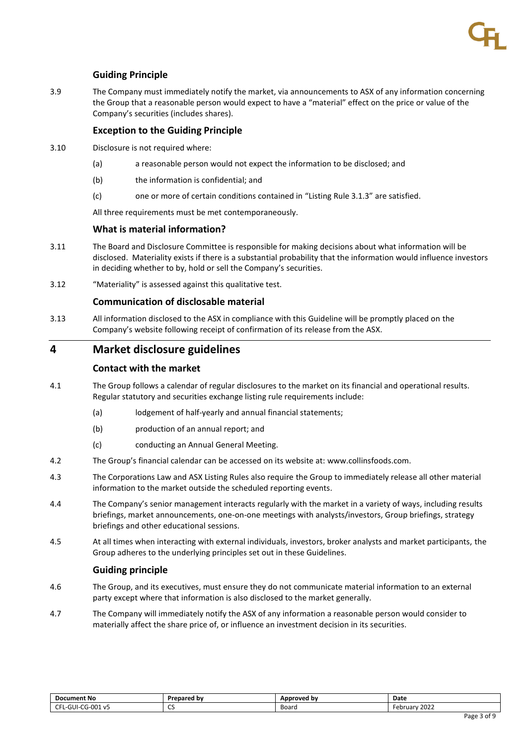### **Guiding Principle**

3.9 The Company must immediately notify the market, via announcements to ASX of any information concerning the Group that a reasonable person would expect to have a "material" effect on the price or value of the Company's securities (includes shares).

#### **Exception to the Guiding Principle**

- 3.10 Disclosure is not required where:
	- (a) a reasonable person would not expect the information to be disclosed; and
	- (b) the information is confidential; and
	- (c) one or more of certain conditions contained in "Listing Rule 3.1.3" are satisfied.

All three requirements must be met contemporaneously.

### **What is material information?**

- <span id="page-2-0"></span>3.11 The Board and Disclosure Committee is responsible for making decisions about what information will be disclosed. Materiality exists if there is a substantial probability that the information would influence investors in deciding whether to by, hold or sell the Company's securities.
- 3.12 "Materiality" is assessed against this qualitative test.

### **Communication of disclosable material**

3.13 All information disclosed to the ASX in compliance with this Guideline will be promptly placed on the Company's website following receipt of confirmation of its release from the ASX.

## **4 Market disclosure guidelines**

#### **Contact with the market**

- 4.1 The Group follows a calendar of regular disclosures to the market on its financial and operational results. Regular statutory and securities exchange listing rule requirements include:
	- (a) lodgement of half-yearly and annual financial statements;
	- (b) production of an annual report; and
	- (c) conducting an Annual General Meeting.
- 4.2 The Group's financial calendar can be accessed on its website at: www.collinsfoods.com.
- 4.3 The Corporations Law and ASX Listing Rules also require the Group to immediately release all other material information to the market outside the scheduled reporting events.
- 4.4 The Company's senior management interacts regularly with the market in a variety of ways, including results briefings, market announcements, one-on-one meetings with analysts/investors, Group briefings, strategy briefings and other educational sessions.
- 4.5 At all times when interacting with external individuals, investors, broker analysts and market participants, the Group adheres to the underlying principles set out in these Guidelines.

#### **Guiding principle**

- 4.6 The Group, and its executives, must ensure they do not communicate material information to an external party except where that information is also disclosed to the market generally.
- 4.7 The Company will immediately notify the ASX of any information a reasonable person would consider to materially affect the share price of, or influence an investment decision in its securities.

| <b>Document No</b>             | Prepared by         | Approved by | Date             |
|--------------------------------|---------------------|-------------|------------------|
| ~-<br>CG-001 v5·<br>-GUI-<br>. | $\sim$<br>ື<br>$ -$ | Board<br>.  | 2022<br>-ebruarv |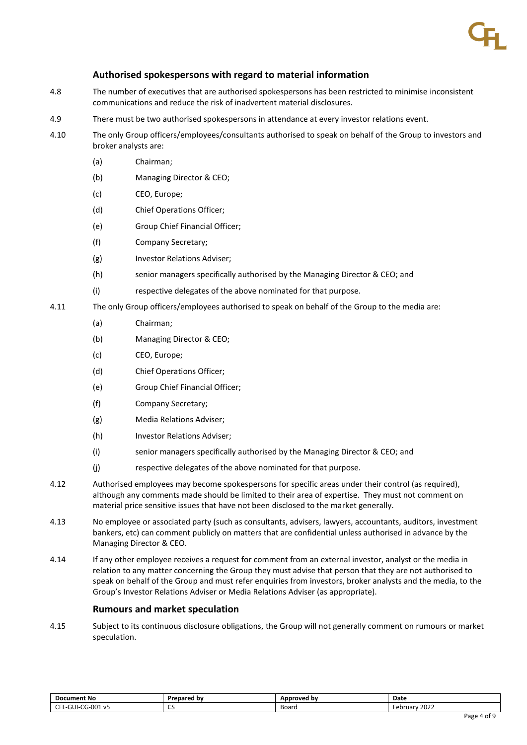### **Authorised spokespersons with regard to material information**

- 4.8 The number of executives that are authorised spokespersons has been restricted to minimise inconsistent communications and reduce the risk of inadvertent material disclosures.
- 4.9 There must be two authorised spokespersons in attendance at every investor relations event.
- 4.10 The only Group officers/employees/consultants authorised to speak on behalf of the Group to investors and broker analysts are:
	- (a) Chairman;
	- (b) Managing Director & CEO;
	- (c) CEO, Europe;
	- (d) Chief Operations Officer;
	- (e) Group Chief Financial Officer;
	- (f) Company Secretary;
	- (g) Investor Relations Adviser;
	- (h) senior managers specifically authorised by the Managing Director & CEO; and
	- (i) respective delegates of the above nominated for that purpose.
- 4.11 The only Group officers/employees authorised to speak on behalf of the Group to the media are:
	- (a) Chairman;
	- (b) Managing Director & CEO;
	- (c) CEO, Europe;
	- (d) Chief Operations Officer;
	- (e) Group Chief Financial Officer;
	- (f) Company Secretary;
	- (g) Media Relations Adviser;
	- (h) Investor Relations Adviser;
	- (i) senior managers specifically authorised by the Managing Director & CEO; and
	- (j) respective delegates of the above nominated for that purpose.
- 4.12 Authorised employees may become spokespersons for specific areas under their control (as required), although any comments made should be limited to their area of expertise. They must not comment on material price sensitive issues that have not been disclosed to the market generally.
- 4.13 No employee or associated party (such as consultants, advisers, lawyers, accountants, auditors, investment bankers, etc) can comment publicly on matters that are confidential unless authorised in advance by the Managing Director & CEO.
- 4.14 If any other employee receives a request for comment from an external investor, analyst or the media in relation to any matter concerning the Group they must advise that person that they are not authorised to speak on behalf of the Group and must refer enquiries from investors, broker analysts and the media, to the Group's Investor Relations Adviser or Media Relations Adviser (as appropriate).

#### **Rumours and market speculation**

4.15 Subject to its continuous disclosure obligations, the Group will not generally comment on rumours or market speculation.

| <b>Document No</b>                                               | <b>Prepared by</b> | Approved by | Date              |
|------------------------------------------------------------------|--------------------|-------------|-------------------|
| $\sim$ $\sim$ $\sim$<br>CG-001<br>$\sim$<br>L-GUI-i<br>. V5<br>u | $\sim$<br>ິ        | Board       | 2022<br>February. |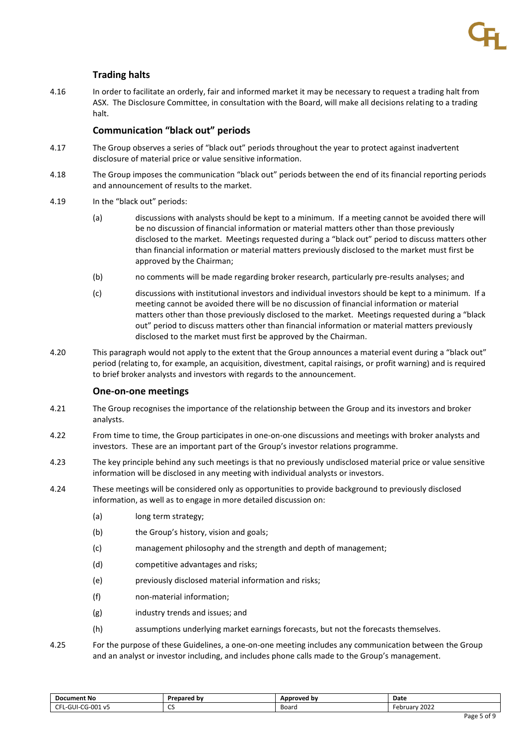## **Trading halts**

4.16 In order to facilitate an orderly, fair and informed market it may be necessary to request a trading halt from ASX. The Disclosure Committee, in consultation with the Board, will make all decisions relating to a trading halt.

#### **Communication "black out" periods**

- 4.17 The Group observes a series of "black out" periods throughout the year to protect against inadvertent disclosure of material price or value sensitive information.
- 4.18 The Group imposes the communication "black out" periods between the end of its financial reporting periods and announcement of results to the market.
- 4.19 In the "black out" periods:
	- (a) discussions with analysts should be kept to a minimum. If a meeting cannot be avoided there will be no discussion of financial information or material matters other than those previously disclosed to the market. Meetings requested during a "black out" period to discuss matters other than financial information or material matters previously disclosed to the market must first be approved by the Chairman;
	- (b) no comments will be made regarding broker research, particularly pre-results analyses; and
	- (c) discussions with institutional investors and individual investors should be kept to a minimum. If a meeting cannot be avoided there will be no discussion of financial information or material matters other than those previously disclosed to the market. Meetings requested during a "black out" period to discuss matters other than financial information or material matters previously disclosed to the market must first be approved by the Chairman.
- 4.20 This paragraph would not apply to the extent that the Group announces a material event during a "black out" period (relating to, for example, an acquisition, divestment, capital raisings, or profit warning) and is required to brief broker analysts and investors with regards to the announcement.

#### **One-on-one meetings**

- 4.21 The Group recognises the importance of the relationship between the Group and its investors and broker analysts.
- 4.22 From time to time, the Group participates in one-on-one discussions and meetings with broker analysts and investors. These are an important part of the Group's investor relations programme.
- 4.23 The key principle behind any such meetings is that no previously undisclosed material price or value sensitive information will be disclosed in any meeting with individual analysts or investors.
- 4.24 These meetings will be considered only as opportunities to provide background to previously disclosed information, as well as to engage in more detailed discussion on:
	- (a) long term strategy;
	- (b) the Group's history, vision and goals;
	- (c) management philosophy and the strength and depth of management;
	- (d) competitive advantages and risks;
	- (e) previously disclosed material information and risks;
	- (f) non-material information;
	- (g) industry trends and issues; and
	- (h) assumptions underlying market earnings forecasts, but not the forecasts themselves.
- 4.25 For the purpose of these Guidelines, a one-on-one meeting includes any communication between the Group and an analyst or investor including, and includes phone calls made to the Group's management.

| <b>Document No</b>                     | Prepared by        | Approved by | Date                         |
|----------------------------------------|--------------------|-------------|------------------------------|
| ~G-001 v5<br>$\sim$<br>-GUI-<br>$\sim$ | $\sim$<br>ິ<br>- - | Board<br>.  | 2022<br>-ohr<br>. uarv<br>cu |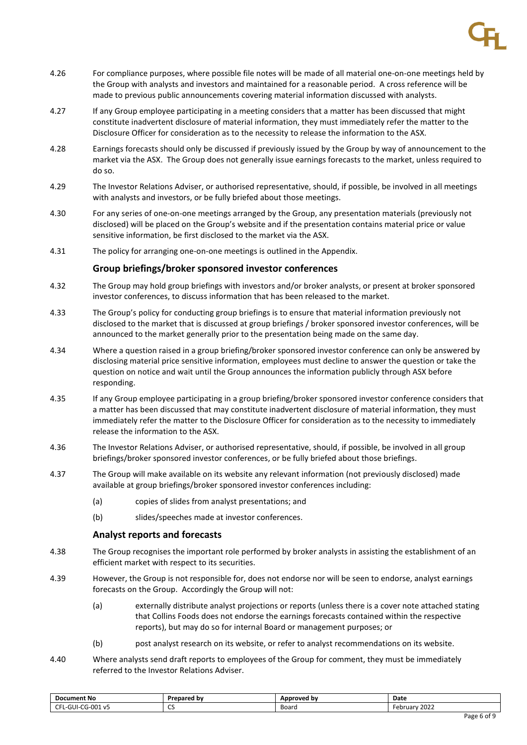- 4.26 For compliance purposes, where possible file notes will be made of all material one-on-one meetings held by the Group with analysts and investors and maintained for a reasonable period. A cross reference will be made to previous public announcements covering material information discussed with analysts.
- 4.27 If any Group employee participating in a meeting considers that a matter has been discussed that might constitute inadvertent disclosure of material information, they must immediately refer the matter to the Disclosure Officer for consideration as to the necessity to release the information to the ASX.
- 4.28 Earnings forecasts should only be discussed if previously issued by the Group by way of announcement to the market via the ASX. The Group does not generally issue earnings forecasts to the market, unless required to do so.
- 4.29 The Investor Relations Adviser, or authorised representative, should, if possible, be involved in all meetings with analysts and investors, or be fully briefed about those meetings.
- 4.30 For any series of one-on-one meetings arranged by the Group, any presentation materials (previously not disclosed) will be placed on the Group's website and if the presentation contains material price or value sensitive information, be first disclosed to the market via the ASX.
- 4.31 The policy for arranging one-on-one meetings is outlined in the Appendix.

#### **Group briefings/broker sponsored investor conferences**

- 4.32 The Group may hold group briefings with investors and/or broker analysts, or present at broker sponsored investor conferences, to discuss information that has been released to the market.
- 4.33 The Group's policy for conducting group briefings is to ensure that material information previously not disclosed to the market that is discussed at group briefings / broker sponsored investor conferences, will be announced to the market generally prior to the presentation being made on the same day.
- 4.34 Where a question raised in a group briefing/broker sponsored investor conference can only be answered by disclosing material price sensitive information, employees must decline to answer the question or take the question on notice and wait until the Group announces the information publicly through ASX before responding.
- 4.35 If any Group employee participating in a group briefing/broker sponsored investor conference considers that a matter has been discussed that may constitute inadvertent disclosure of material information, they must immediately refer the matter to the Disclosure Officer for consideration as to the necessity to immediately release the information to the ASX.
- 4.36 The Investor Relations Adviser, or authorised representative, should, if possible, be involved in all group briefings/broker sponsored investor conferences, or be fully briefed about those briefings.
- 4.37 The Group will make available on its website any relevant information (not previously disclosed) made available at group briefings/broker sponsored investor conferences including:
	- (a) copies of slides from analyst presentations; and
	- (b) slides/speeches made at investor conferences.

#### **Analyst reports and forecasts**

- 4.38 The Group recognises the important role performed by broker analysts in assisting the establishment of an efficient market with respect to its securities.
- 4.39 However, the Group is not responsible for, does not endorse nor will be seen to endorse, analyst earnings forecasts on the Group. Accordingly the Group will not:
	- (a) externally distribute analyst projections or reports (unless there is a cover note attached stating that Collins Foods does not endorse the earnings forecasts contained within the respective reports), but may do so for internal Board or management purposes; or
	- (b) post analyst research on its website, or refer to analyst recommendations on its website.
- 4.40 Where analysts send draft reports to employees of the Group for comment, they must be immediately referred to the Investor Relations Adviser.

| <b>Document No</b>                                   | <b>Prepared by</b> | Approved by | Date                       |
|------------------------------------------------------|--------------------|-------------|----------------------------|
| $\sim$ $-$<br>CG-001<br>$\sim$<br>L-GUI-i<br>V5<br>∼ | $\sim$<br>ິ<br>- - | Board       | .2021<br>February.<br>ZUZZ |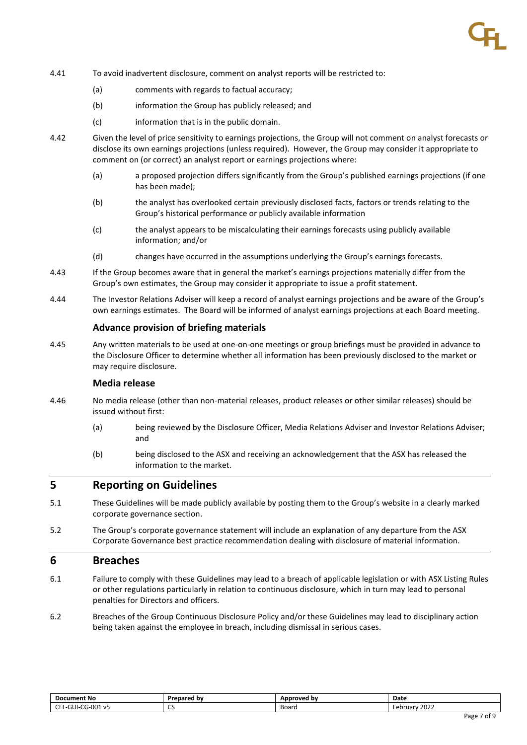- 4.41 To avoid inadvertent disclosure, comment on analyst reports will be restricted to:
	- (a) comments with regards to factual accuracy;
	- (b) information the Group has publicly released; and
	- (c) information that is in the public domain.
- 4.42 Given the level of price sensitivity to earnings projections, the Group will not comment on analyst forecasts or disclose its own earnings projections (unless required). However, the Group may consider it appropriate to comment on (or correct) an analyst report or earnings projections where:
	- (a) a proposed projection differs significantly from the Group's published earnings projections (if one has been made);
	- (b) the analyst has overlooked certain previously disclosed facts, factors or trends relating to the Group's historical performance or publicly available information
	- (c) the analyst appears to be miscalculating their earnings forecasts using publicly available information; and/or
	- (d) changes have occurred in the assumptions underlying the Group's earnings forecasts.
- 4.43 If the Group becomes aware that in general the market's earnings projections materially differ from the Group's own estimates, the Group may consider it appropriate to issue a profit statement.
- 4.44 The Investor Relations Adviser will keep a record of analyst earnings projections and be aware of the Group's own earnings estimates. The Board will be informed of analyst earnings projections at each Board meeting.

#### **Advance provision of briefing materials**

4.45 Any written materials to be used at one-on-one meetings or group briefings must be provided in advance to the Disclosure Officer to determine whether all information has been previously disclosed to the market or may require disclosure.

#### **Media release**

- 4.46 No media release (other than non-material releases, product releases or other similar releases) should be issued without first:
	- (a) being reviewed by the Disclosure Officer, Media Relations Adviser and Investor Relations Adviser; and
	- (b) being disclosed to the ASX and receiving an acknowledgement that the ASX has released the information to the market.

## **5 Reporting on Guidelines**

- 5.1 These Guidelines will be made publicly available by posting them to the Group's website in a clearly marked corporate governance section.
- 5.2 The Group's corporate governance statement will include an explanation of any departure from the ASX Corporate Governance best practice recommendation dealing with disclosure of material information.

## **6 Breaches**

- 6.1 Failure to comply with these Guidelines may lead to a breach of applicable legislation or with ASX Listing Rules or other regulations particularly in relation to continuous disclosure, which in turn may lead to personal penalties for Directors and officers.
- 6.2 Breaches of the Group Continuous Disclosure Policy and/or these Guidelines may lead to disciplinary action being taken against the employee in breach, including dismissal in serious cases.

| <b>Document No</b>                     | Prepared by        | Approved by | Date                         |
|----------------------------------------|--------------------|-------------|------------------------------|
| ~G-001 v5<br>$\sim$<br>-GUI-<br>$\sim$ | $\sim$<br>ິ<br>- - | Board<br>.  | 2022<br>-ohr<br>. uarv<br>cu |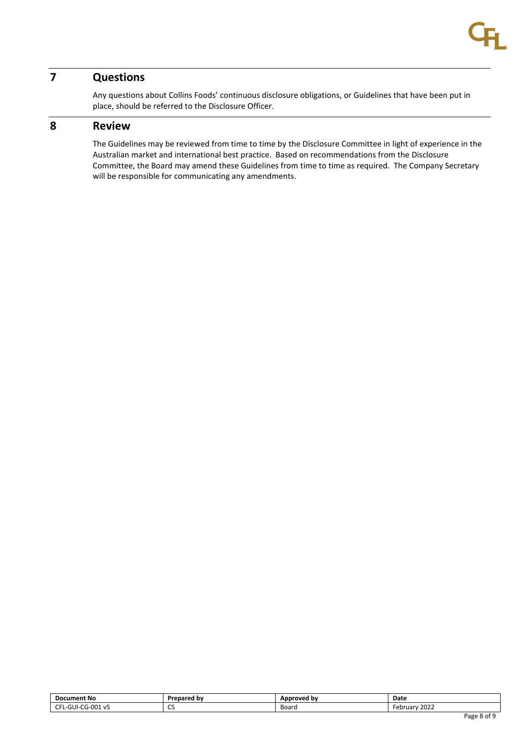# **7 Questions**

Any questions about Collins Foods' continuous disclosure obligations, or Guidelines that have been put in place, should be referred to the Disclosure Officer.

## **8 Review**

The Guidelines may be reviewed from time to time by the Disclosure Committee in light of experience in the Australian market and international best practice. Based on recommendations from the Disclosure Committee, the Board may amend these Guidelines from time to time as required. The Company Secretary will be responsible for communicating any amendments.

| <b>Document No</b>                                       | Prepared by         | Approved by | Date                                          |
|----------------------------------------------------------|---------------------|-------------|-----------------------------------------------|
| CG-001<br>~-<br>$\sim$<br>-GUI-<br>v-<br>$\sim$<br>- - - | $\sim$<br>ິ<br>$ -$ | Board<br>.  | $\sim$ $\sim$ $\sim$<br>February<br>2022<br>. |